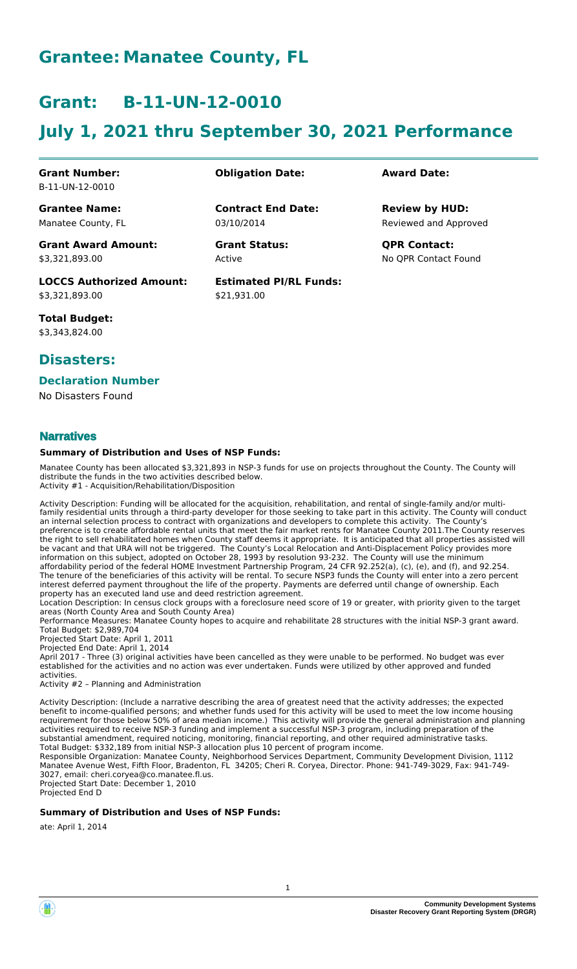# **Grantee: Manatee County, FL**

# **Grant: B-11-UN-12-0010**

# **July 1, 2021 thru September 30, 2021 Performance**

#### **Grant Number:** B-11-UN-12-0010

**Grantee Name:** Manatee County, FL **Obligation Date: Award Date:**

03/10/2014 **Contract End Date:**

> Active **Grant Status: QPR Contact:**

**Estimated PI/RL Funds:** \$21,931.00

Reviewed and Approved **Review by HUD:**

No QPR Contact Found

# \$3,321,893.00

**LOCCS Authorized Amount:**

**Grant Award Amount:**

**Total Budget:** \$3,343,824.00

\$3,321,893.00

### **Disasters:**

### **Declaration Number**

No Disasters Found

### **Narratives**

#### **Summary of Distribution and Uses of NSP Funds:**

Manatee County has been allocated \$3,321,893 in NSP-3 funds for use on projects throughout the County. The County will distribute the funds in the two activities described below. Activity #1 - Acquisition/Rehabilitation/Disposition

Activity Description: Funding will be allocated for the acquisition, rehabilitation, and rental of single-family and/or multifamily residential units through a third-party developer for those seeking to take part in this activity. The County will conduct an internal selection process to contract with organizations and developers to complete this activity. The County's preference is to create affordable rental units that meet the fair market rents for Manatee County 2011.The County reserves the right to sell rehabilitated homes when County staff deems it appropriate. It is anticipated that all properties assisted will be vacant and that URA will not be triggered. The County's Local Relocation and Anti-Displacement Policy provides more information on this subject, adopted on October 28, 1993 by resolution 93-232. The County will use the minimum affordability period of the federal HOME Investment Partnership Program, 24 CFR 92.252(a), (c), (e), and (f), and 92.254. The tenure of the beneficiaries of this activity will be rental. To secure NSP3 funds the County will enter into a zero percent interest deferred payment throughout the life of the property. Payments are deferred until change of ownership. Each property has an executed land use and deed restriction agreement.

Location Description: In census clock groups with a foreclosure need score of 19 or greater, with priority given to the target areas (North County Area and South County Area)

Performance Measures: Manatee County hopes to acquire and rehabilitate 28 structures with the initial NSP-3 grant award. Total Budget: \$2,989,704

Projected Start Date: April 1, 2011

Projected End Date: April 1, 2014 April 2017 - Three (3) original activities have been cancelled as they were unable to be performed. No budget was ever established for the activities and no action was ever undertaken. Funds were utilized by other approved and funded activities.

Activity #2 – Planning and Administration

Activity Description: (Include a narrative describing the area of greatest need that the activity addresses; the expected benefit to income-qualified persons; and whether funds used for this activity will be used to meet the low income housing requirement for those below 50% of area median income.) This activity will provide the general administration and planning activities required to receive NSP-3 funding and implement a successful NSP-3 program, including preparation of the substantial amendment, required noticing, monitoring, financial reporting, and other required administrative tasks. Total Budget: \$332,189 from initial NSP-3 allocation plus 10 percent of program income.

Responsible Organization: Manatee County, Neighborhood Services Department, Community Development Division, 1112 Manatee Avenue West, Fifth Floor, Bradenton, FL 34205; Cheri R. Coryea, Director. Phone: 941-749-3029, Fax: 941-749- 3027, email: cheri.coryea@co.manatee.fl.us. Projected Start Date: December 1, 2010

Projected End D

#### **Summary of Distribution and Uses of NSP Funds:**

ate: April 1, 2014

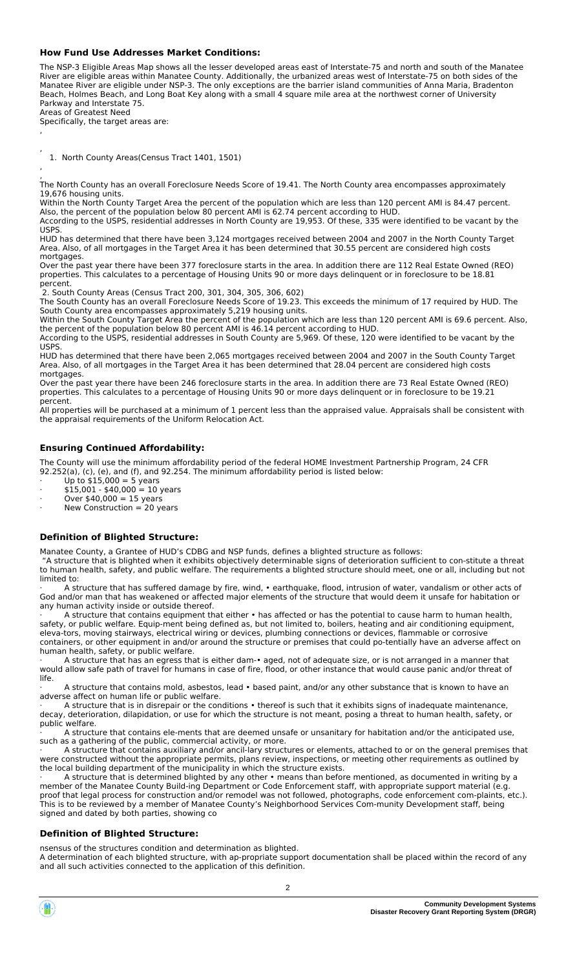#### **How Fund Use Addresses Market Conditions:**

The NSP-3 Eligible Areas Map shows all the lesser developed areas east of Interstate-75 and north and south of the Manatee River are eligible areas within Manatee County. Additionally, the urbanized areas west of Interstate-75 on both sides of the Manatee River are eligible under NSP-3. The only exceptions are the barrier island communities of Anna Maria, Bradenton Beach, Holmes Beach, and Long Boat Key along with a small 4 square mile area at the northwest corner of University Parkway and Interstate 75. Areas of Greatest Need

Specifically, the target areas are:

,

,

, 1. North County Areas(Census Tract 1401, 1501)

, The North County has an overall Foreclosure Needs Score of 19.41. The North County area encompasses approximately 19,676 housing units.

Within the North County Target Area the percent of the population which are less than 120 percent AMI is 84.47 percent. Also, the percent of the population below 80 percent AMI is 62.74 percent according to HUD.

According to the USPS, residential addresses in North County are 19,953. Of these, 335 were identified to be vacant by the USPS.

HUD has determined that there have been 3,124 mortgages received between 2004 and 2007 in the North County Target Area. Also, of all mortgages in the Target Area it has been determined that 30.55 percent are considered high costs mortgages.

Over the past year there have been 377 foreclosure starts in the area. In addition there are 112 Real Estate Owned (REO) properties. This calculates to a percentage of Housing Units 90 or more days delinquent or in foreclosure to be 18.81 percent.

2. South County Areas (Census Tract 200, 301, 304, 305, 306, 602)

The South County has an overall Foreclosure Needs Score of 19.23. This exceeds the minimum of 17 required by HUD. The South County area encompasses approximately 5,219 housing units.

Within the South County Target Area the percent of the population which are less than 120 percent AMI is 69.6 percent. Also, the percent of the population below 80 percent AMI is 46.14 percent according to HUD. According to the USPS, residential addresses in South County are 5,969. Of these, 120 were identified to be vacant by the

USPS. HUD has determined that there have been 2,065 mortgages received between 2004 and 2007 in the South County Target Area. Also, of all mortgages in the Target Area it has been determined that 28.04 percent are considered high costs

mortgages. Over the past year there have been 246 foreclosure starts in the area. In addition there are 73 Real Estate Owned (REO) properties. This calculates to a percentage of Housing Units 90 or more days delinquent or in foreclosure to be 19.21 percent.

All properties will be purchased at a minimum of 1 percent less than the appraised value. Appraisals shall be consistent with the appraisal requirements of the Uniform Relocation Act.

#### **Ensuring Continued Affordability:**

The County will use the minimum affordability period of the federal HOME Investment Partnership Program, 24 CFR 92.252(a), (c), (e), and (f), and 92.254. The minimum affordability period is listed below:

 $\cdot$  Up to \$15,000 = 5 years

· \$15,001 - \$40,000 = 10 years

 $\cdot$  Over \$40,000 = 15 years · New Construction = 20 years

#### **Definition of Blighted Structure:**

Manatee County, a Grantee of HUD's CDBG and NSP funds, defines a blighted structure as follows:

 "A structure that is blighted when it exhibits objectively determinable signs of deterioration sufficient to constitute a threat to human health, safety, and public welfare. The requirements a blighted structure should meet, one or all, including but not limited to:

A structure that has suffered damage by fire, wind, • earthquake, flood, intrusion of water, vandalism or other acts of God and/or man that has weakened or affected major elements of the structure that would deem it unsafe for habitation or any human activity inside or outside thereof.

A structure that contains equipment that either • has affected or has the potential to cause harm to human health, safety, or public welfare. Equipment being defined as, but not limited to, boilers, heating and air conditioning equipment, eleva-tors, moving stairways, electrical wiring or devices, plumbing connections or devices, flammable or corrosive containers, or other equipment in and/or around the structure or premises that could po-tentially have an adverse affect on human health, safety, or public welfare.

· A structure that has an egress that is either dam• aged, not of adequate size, or is not arranged in a manner that would allow safe path of travel for humans in case of fire, flood, or other instance that would cause panic and/or threat of life.

A structure that contains mold, asbestos, lead • based paint, and/or any other substance that is known to have an adverse affect on human life or public welfare.

· A structure that is in disrepair or the conditions • thereof is such that it exhibits signs of inadequate maintenance, decay, deterioration, dilapidation, or use for which the structure is not meant, posing a threat to human health, safety, or public welfare.

A structure that contains ele-ments that are deemed unsafe or unsanitary for habitation and/or the anticipated use, such as a gathering of the public, commercial activity, or more.

 $\cdot$  A structure that contains auxiliary and/or ancil-lary structures or elements, attached to or on the general premises that were constructed without the appropriate permits, plans review, inspections, or meeting other requirements as outlined by the local building department of the municipality in which the structure exists.

A structure that is determined blighted by any other • means than before mentioned, as documented in writing by a member of the Manatee County Build-ing Department or Code Enforcement staff, with appropriate support material (e.g. proof that legal process for construction and/or remodel was not followed, photographs, code enforcement com-plaints, etc.). This is to be reviewed by a member of Manatee County's Neighborhood Services Com-munity Development staff, being signed and dated by both parties, showing co

#### **Definition of Blighted Structure:**

nsensus of the structures condition and determination as blighted. A determination of each blighted structure, with ap-propriate support documentation shall be placed within the record of any and all such activities connected to the application of this definition.

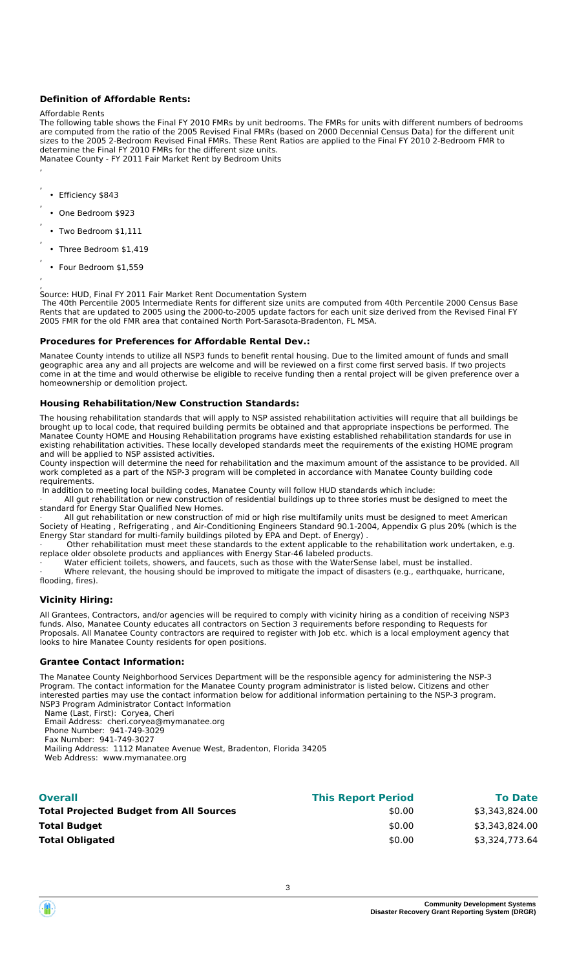#### **Definition of Affordable Rents:**

#### Affordable Rents

The following table shows the Final FY 2010 FMRs by unit bedrooms. The FMRs for units with different numbers of bedrooms are computed from the ratio of the 2005 Revised Final FMRs (based on 2000 Decennial Census Data) for the different unit sizes to the 2005 2-Bedroom Revised Final FMRs. These Rent Ratios are applied to the Final FY 2010 2-Bedroom FMR to determine the Final FY 2010 FMRs for the different size units. Manatee County - FY 2011 Fair Market Rent by Bedroom Units

• Efficiency \$843

- , • One Bedroom \$923
- , • Two Bedroom \$1,111
- , • Three Bedroom \$1,419
- Four Bedroom \$1,559

, ,

,

, ,

Source: HUD, Final FY 2011 Fair Market Rent Documentation System

 The 40th Percentile 2005 Intermediate Rents for different size units are computed from 40th Percentile 2000 Census Base Rents that are updated to 2005 using the 2000-to-2005 update factors for each unit size derived from the Revised Final FY 2005 FMR for the old FMR area that contained North Port-Sarasota-Bradenton, FL MSA.

#### **Procedures for Preferences for Affordable Rental Dev.:**

Manatee County intends to utilize all NSP3 funds to benefit rental housing. Due to the limited amount of funds and small geographic area any and all projects are welcome and will be reviewed on a first come first served basis. If two projects come in at the time and would otherwise be eligible to receive funding then a rental project will be given preference over a homeownership or demolition project.

#### **Housing Rehabilitation/New Construction Standards:**

The housing rehabilitation standards that will apply to NSP assisted rehabilitation activities will require that all buildings be brought up to local code, that required building permits be obtained and that appropriate inspections be performed. The Manatee County HOME and Housing Rehabilitation programs have existing established rehabilitation standards for use in existing rehabilitation activities. These locally developed standards meet the requirements of the existing HOME program and will be applied to NSP assisted activities.

County inspection will determine the need for rehabilitation and the maximum amount of the assistance to be provided. All work completed as a part of the NSP-3 program will be completed in accordance with Manatee County building code requirements.

In addition to meeting local building codes, Manatee County will follow HUD standards which include:

All gut rehabilitation or new construction of residential buildings up to three stories must be designed to meet the standard for Energy Star Qualified New Homes.

All gut rehabilitation or new construction of mid or high rise multifamily units must be designed to meet American Society of Heating , Refrigerating , and Air-Conditioning Engineers Standard 90.1-2004, Appendix G plus 20% (which is the Energy Star standard for multi-family buildings piloted by EPA and Dept. of Energy) .

 $\cdot$  Other rehabilitation must meet these standards to the extent applicable to the rehabilitation work undertaken, e.g. replace older obsolete products and appliances with Energy Star-46 labeled products.

· Water efficient toilets, showers, and faucets, such as those with the WaterSense label, must be installed.

Where relevant, the housing should be improved to mitigate the impact of disasters (e.g., earthquake, hurricane, flooding, fires).

#### **Vicinity Hiring:**

All Grantees, Contractors, and/or agencies will be required to comply with vicinity hiring as a condition of receiving NSP3 funds. Also, Manatee County educates all contractors on Section 3 requirements before responding to Requests for Proposals. All Manatee County contractors are required to register with Job etc. which is a local employment agency that looks to hire Manatee County residents for open positions.

#### **Grantee Contact Information:**

The Manatee County Neighborhood Services Department will be the responsible agency for administering the NSP-3 Program. The contact information for the Manatee County program administrator is listed below. Citizens and other interested parties may use the contact information below for additional information pertaining to the NSP-3 program. NSP3 Program Administrator Contact Information

Name (Last, First): Coryea, Cheri

Email Address: cheri.coryea@mymanatee.org

 Phone Number: 941-749-3029 Fax Number: 941-749-3027

Mailing Address: 1112 Manatee Avenue West, Bradenton, Florida 34205

Web Address: www.mymanatee.org

| <b>Overall</b>                                 | <b>This Report Period</b> | <b>To Date</b> |
|------------------------------------------------|---------------------------|----------------|
| <b>Total Projected Budget from All Sources</b> | \$0.00                    | \$3,343,824.00 |
| <b>Total Budget</b>                            | \$0.00                    | \$3,343,824.00 |
| <b>Total Obligated</b>                         | \$0.00                    | \$3,324,773.64 |
|                                                |                           |                |